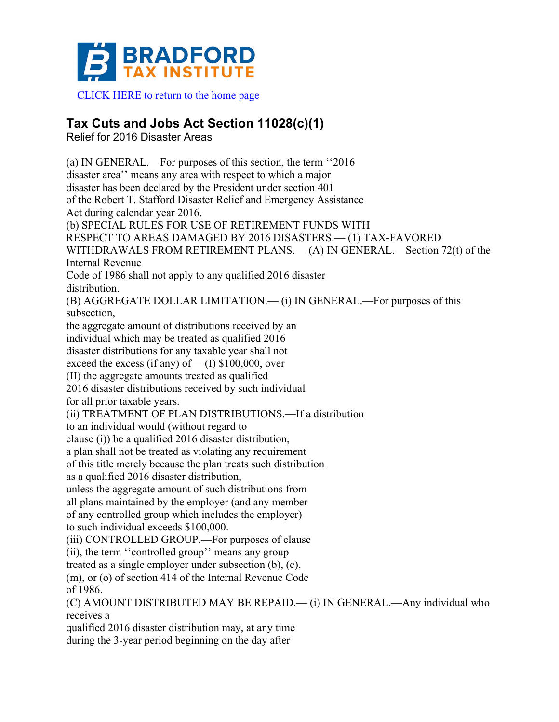

CLICK HERE to return to the home page

## **Tax Cuts and Jobs Act Section 11028(c)(1)**

Relief for 2016 Disaster Areas

(a) IN GENERAL.—For purposes of this section, the term ''2016 disaster area'' means any area with respect to which a major disaster has been declared by the President under section 401 of the Robert T. Stafford Disaster Relief and Emergency Assistance Act during calendar year 2016. (b) SPECIAL RULES FOR USE OF RETIREMENT FUNDS WITH RESPECT TO AREAS DAMAGED BY 2016 DISASTERS.— (1) TAX-FAVORED WITHDRAWALS FROM RETIREMENT PLANS.— (A) IN GENERAL.—Section 72(t) of the Internal Revenue Code of 1986 shall not apply to any qualified 2016 disaster distribution. (B) AGGREGATE DOLLAR LIMITATION.— (i) IN GENERAL.—For purposes of this subsection, the aggregate amount of distributions received by an individual which may be treated as qualified 2016 disaster distributions for any taxable year shall not exceed the excess (if any) of  $\qquad$  (I) \$100,000, over (II) the aggregate amounts treated as qualified 2016 disaster distributions received by such individual for all prior taxable years. (ii) TREATMENT OF PLAN DISTRIBUTIONS.—If a distribution to an individual would (without regard to clause (i)) be a qualified 2016 disaster distribution, a plan shall not be treated as violating any requirement of this title merely because the plan treats such distribution as a qualified 2016 disaster distribution, unless the aggregate amount of such distributions from all plans maintained by the employer (and any member of any controlled group which includes the employer) to such individual exceeds \$100,000. (iii) CONTROLLED GROUP.—For purposes of clause (ii), the term ''controlled group'' means any group treated as a single employer under subsection (b), (c), (m), or (o) of section 414 of the Internal Revenue Code of 1986. (C) AMOUNT DISTRIBUTED MAY BE REPAID.— (i) IN GENERAL.—Any individual who receives a

qualified 2016 disaster distribution may, at any time during the 3-year period beginning on the day after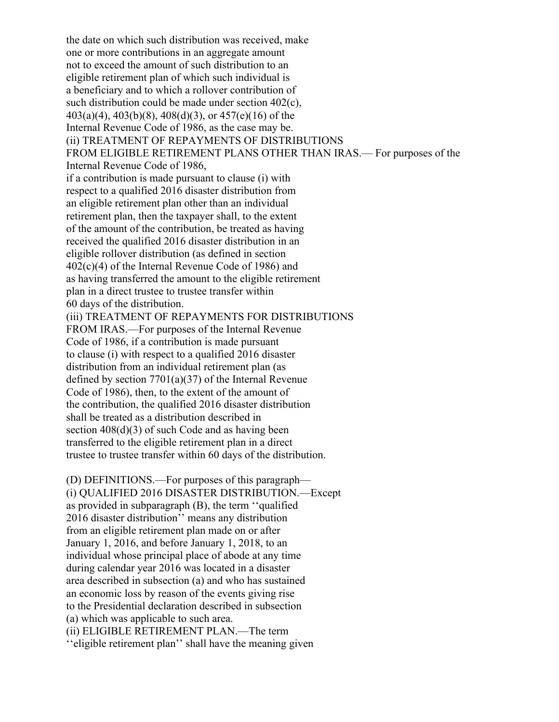the date on which such distribution was received, make one or more contributions in an aggregate amount not to exceed the amount of such distribution to an eligible retirement plan of which such individual is a beneficiary and to which a rollover contribution of such distribution could be made under section 402(c), 403(a)(4), 403(b)(8), 408(d)(3), or 457(e)(16) of the Internal Revenue Code of 1986, as the case may be. (ii) TREATMENT OF REPAYMENTS OF DISTRIBUTIONS FROM ELIGIBLE RETIREMENT PLANS OTHER THAN IRAS.— For purposes of the Internal Revenue Code of 1986, if a contribution is made pursuant to clause (i) with respect to a qualified 2016 disaster distribution from an eligible retirement plan other than an individual retirement plan, then the taxpayer shall, to the extent of the amount of the contribution, be treated as having received the qualified 2016 disaster distribution in an eligible rollover distribution (as defined in section 402(c)(4) of the Internal Revenue Code of 1986) and as having transferred the amount to the eligible retirement plan in a direct trustee to trustee transfer within 60 days of the distribution. (iii) TREATMENT OF REPAYMENTS FOR DISTRIBUTIONS FROM IRAS.—For purposes of the Internal Revenue Code of 1986, if a contribution is made pursuant to clause (i) with respect to a qualified 2016 disaster distribution from an individual retirement plan (as defined by section 7701(a)(37) of the Internal Revenue Code of 1986), then, to the extent of the amount of the contribution, the qualified 2016 disaster distribution shall be treated as a distribution described in section  $408(d)(3)$  of such Code and as having been transferred to the eligible retirement plan in a direct trustee to trustee transfer within 60 days of the distribution. (D) DEFINITIONS.—For purposes of this paragraph—

(i) QUALIFIED 2016 DISASTER DISTRIBUTION.—Except as provided in subparagraph (B), the term ''qualified 2016 disaster distribution'' means any distribution from an eligible retirement plan made on or after January 1, 2016, and before January 1, 2018, to an individual whose principal place of abode at any time during calendar year 2016 was located in a disaster area described in subsection (a) and who has sustained an economic loss by reason of the events giving rise to the Presidential declaration described in subsection (a) which was applicable to such area. (ii) ELIGIBLE RETIREMENT PLAN.—The term ''eligible retirement plan'' shall have the meaning given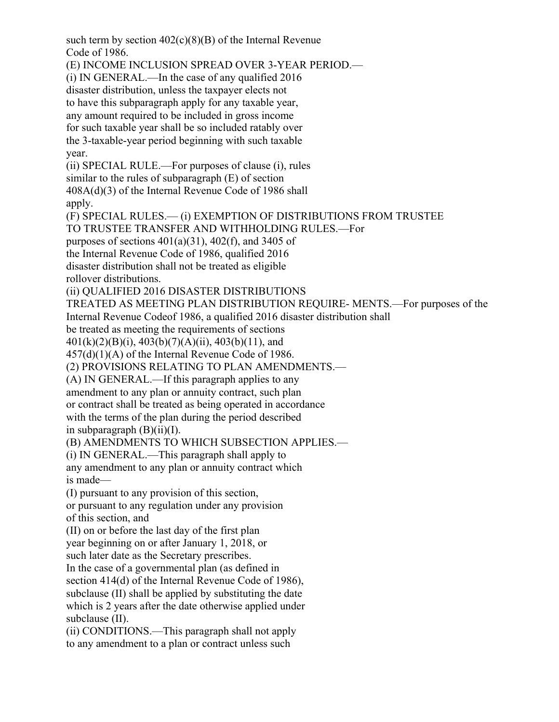such term by section  $402(c)(8)(B)$  of the Internal Revenue Code of 1986. (E) INCOME INCLUSION SPREAD OVER 3-YEAR PERIOD.— (i) IN GENERAL.—In the case of any qualified 2016 disaster distribution, unless the taxpayer elects not to have this subparagraph apply for any taxable year, any amount required to be included in gross income for such taxable year shall be so included ratably over the 3-taxable-year period beginning with such taxable year. (ii) SPECIAL RULE.—For purposes of clause (i), rules similar to the rules of subparagraph (E) of section 408A(d)(3) of the Internal Revenue Code of 1986 shall apply. (F) SPECIAL RULES.— (i) EXEMPTION OF DISTRIBUTIONS FROM TRUSTEE TO TRUSTEE TRANSFER AND WITHHOLDING RULES.—For purposes of sections  $401(a)(31)$ ,  $402(f)$ , and  $3405$  of the Internal Revenue Code of 1986, qualified 2016 disaster distribution shall not be treated as eligible rollover distributions. (ii) QUALIFIED 2016 DISASTER DISTRIBUTIONS TREATED AS MEETING PLAN DISTRIBUTION REQUIRE- MENTS.—For purposes of the Internal Revenue Codeof 1986, a qualified 2016 disaster distribution shall be treated as meeting the requirements of sections  $401(k)(2)(B)(i)$ ,  $403(b)(7)(A)(ii)$ ,  $403(b)(11)$ , and 457(d)(1)(A) of the Internal Revenue Code of 1986. (2) PROVISIONS RELATING TO PLAN AMENDMENTS.— (A) IN GENERAL.—If this paragraph applies to any amendment to any plan or annuity contract, such plan or contract shall be treated as being operated in accordance with the terms of the plan during the period described in subparagraph  $(B)(ii)(I)$ . (B) AMENDMENTS TO WHICH SUBSECTION APPLIES.— (i) IN GENERAL.—This paragraph shall apply to any amendment to any plan or annuity contract which is made— (I) pursuant to any provision of this section, or pursuant to any regulation under any provision of this section, and (II) on or before the last day of the first plan year beginning on or after January 1, 2018, or such later date as the Secretary prescribes. In the case of a governmental plan (as defined in section 414(d) of the Internal Revenue Code of 1986), subclause (II) shall be applied by substituting the date which is 2 years after the date otherwise applied under subclause (II). (ii) CONDITIONS.—This paragraph shall not apply

to any amendment to a plan or contract unless such